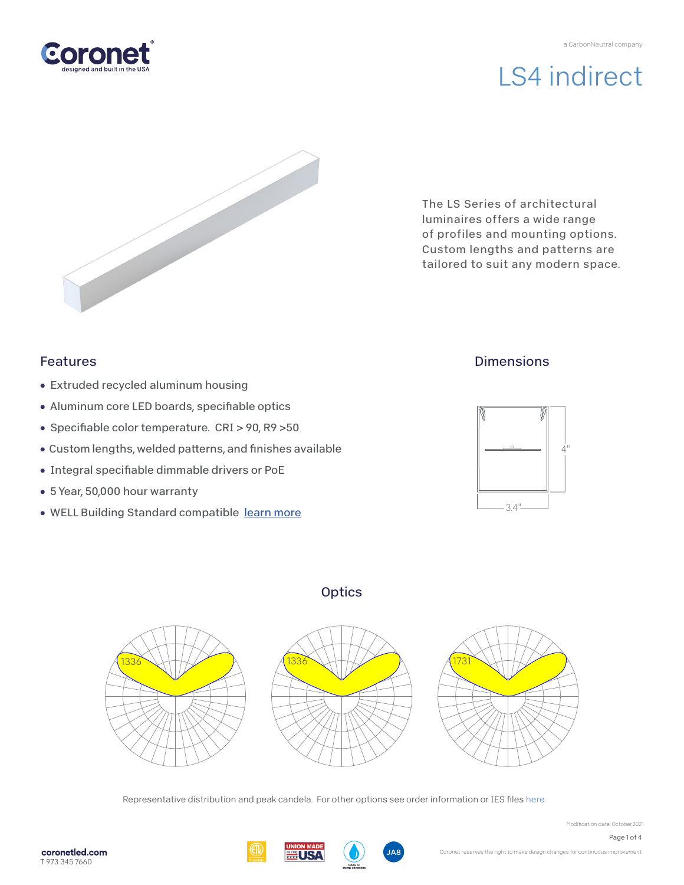

The LS Series of architectural luminaires offers a wide range of profiles and mounting options. Custom lengths and patterns are tailored to suit any modern space.

## Features

- Extruded recycled aluminum housing
- Aluminum core LED boards, specifiable optics
- Specifiable color temperature. CRI > 90, R9 > 50
- Custom lengths, welded patterns, and finishes available
- Integral specifiable dimmable drivers or PoE
- 5 Year, 50,000 hour warranty
- WELL Building Standard compatible [learn more](https://coronetled.com/well-v2-standard/)

# **Dimensions**



# **Optics**



Representative distribution and peak candela. For other options see order information or IES file[s here.](https://coronetled.com/downloads/)







Modification date: October,2021

Page 1 of 4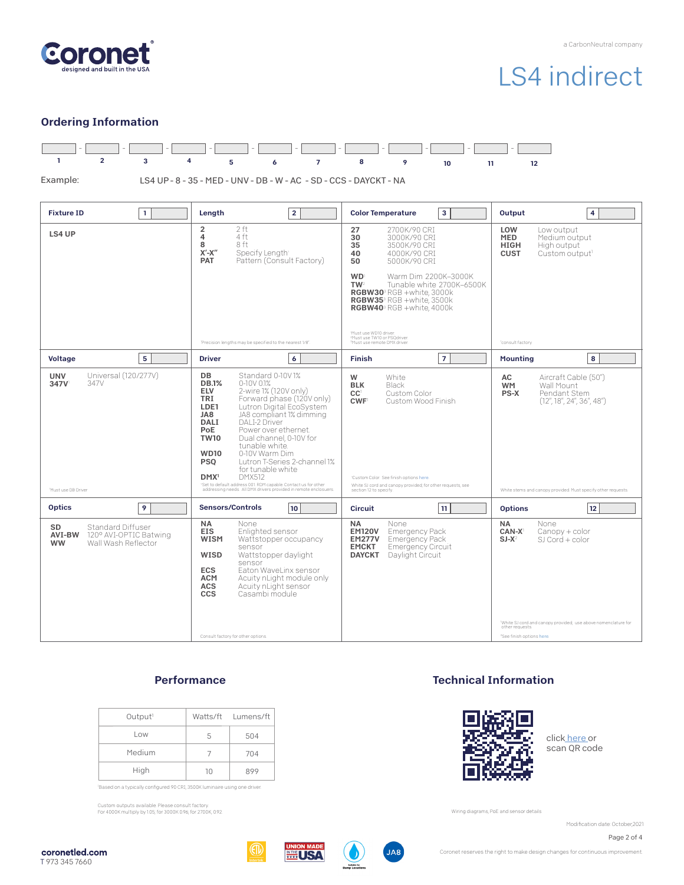

### Ordering Information



### **Performance**

| Output <sup>1</sup> |    | Watts/ft Lumens/ft |
|---------------------|----|--------------------|
| Low                 | 5  | 504                |
| Medium              |    | 704                |
| High                | 10 | 899                |

'Based on a typically configured 90 CRI, 3500K luminaire using one driver.

Custom outputs available. Please consult factory. For 4000K multiply by 1.05; for 3000K 0.96; for 2700K, 0.92.

### Technical Information



clic[k here o](https://coronetled.com/warranty-technical-info/)r scan QR code

Wiring diagrams, PoE and sensor details

Modification date: October,2021

Page 2 of 4

coronetled.com T 973 345 7660







Coronet reserves the right to make design changes for continuous improvement.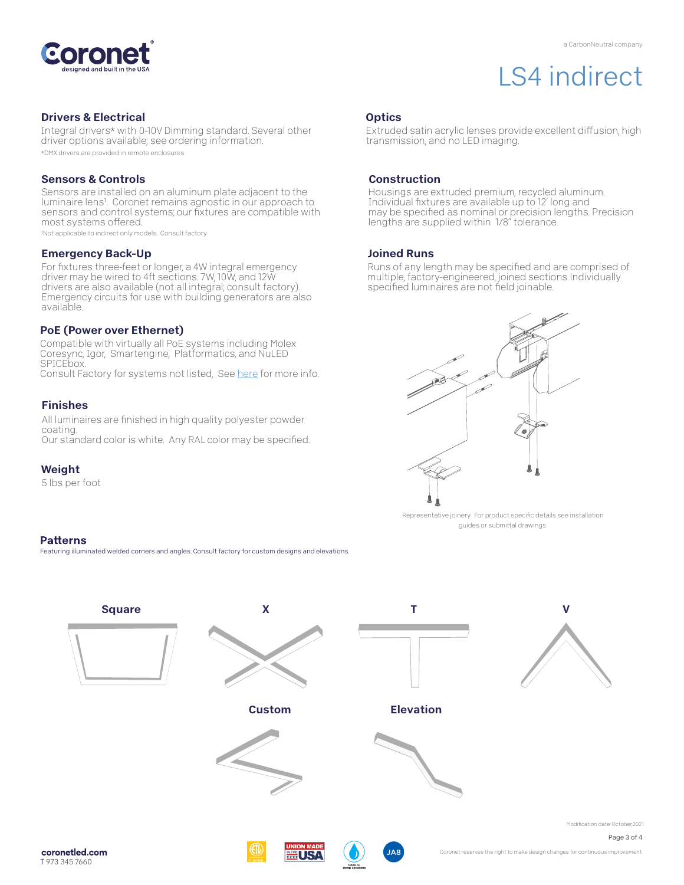

#### Drivers & Electrical

Integral drivers\* with 0-10V Dimming standard. Several other driver options available; see ordering information. \*DMX drivers are provided in remote enclosures.

#### Sensors & Controls

Sensors are installed on an aluminum plate adjacent to the luminaire lens1. Coronet remains agnostic in our approach to sensors and control systems; our fixtures are compatible with most systems offered.

1Not applicable to indirect only models. Consult factory.

#### Emergency Back-Up

For fixtures three-feet or longer, a 4W integral emergency driver may be wired to 4ft sections. 7W, 10W, and 12W drivers are also available (not all integral; consult factory). Emergency circuits for use with building generators are also available.

#### PoE (Power over Ethernet)

Compatible with virtually all PoE systems including Molex Coresync, Igor, Smartengine, Platformatics, and NuLED SPICEbox. Consult Factory for systems not listed, See [here f](https://coronetled.com/warranty-technical-info/)or more info.

#### Finishes

All luminaires are finished in high quality polyester powder coating. Our standard color is white. Any RAL color may be specified.

### Weight

5 lbs per foot

#### **Patterns**

Featuring illuminated welded corners and angles. Consult factory for custom designs and elevations

## **Optics**

Extruded satin acrylic lenses provide excellent diffusion, high transmission, and no LED imaging.

#### Construction

Housings are extruded premium, recycled aluminum. Individual fixtures are available up to 12' long and may be specified as nominal or precision lengths. Precision lengths are supplied within 1/8" tolerance.

#### Joined Runs

Runs of any length may be specified and are comprised of multiple, factory-engineered, joined sections. Individually specified luminaires are not field joinable.



Representative joinery. For product specific details see installation guides or submittal drawings.